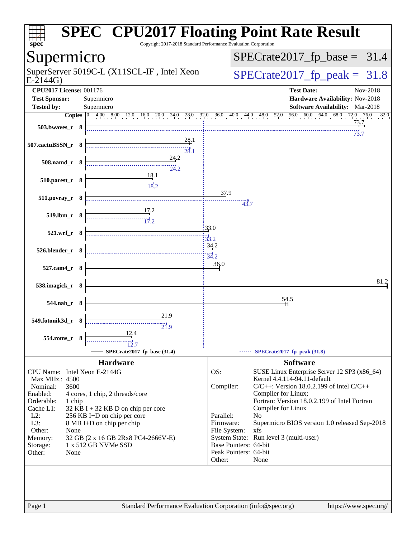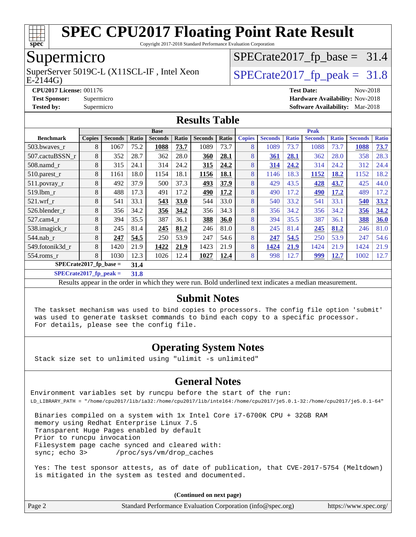

Copyright 2017-2018 Standard Performance Evaluation Corporation

## Supermicro

E-2144G) SuperServer 5019C-L (X11SCL-IF, Intel Xeon  $SPECrate2017_fp\_peak = 31.8$ 

 $SPECTate2017_fp\_base = 31.4$ 

**[CPU2017 License:](http://www.spec.org/auto/cpu2017/Docs/result-fields.html#CPU2017License)** 001176 **[Test Date:](http://www.spec.org/auto/cpu2017/Docs/result-fields.html#TestDate)** Nov-2018 **[Test Sponsor:](http://www.spec.org/auto/cpu2017/Docs/result-fields.html#TestSponsor)** Supermicro **[Hardware Availability:](http://www.spec.org/auto/cpu2017/Docs/result-fields.html#HardwareAvailability)** Nov-2018 **[Tested by:](http://www.spec.org/auto/cpu2017/Docs/result-fields.html#Testedby)** Supermicro **[Software Availability:](http://www.spec.org/auto/cpu2017/Docs/result-fields.html#SoftwareAvailability)** Mar-2018

### **[Results Table](http://www.spec.org/auto/cpu2017/Docs/result-fields.html#ResultsTable)**

|                           | <b>Base</b>   |                |       |                |       | <b>Peak</b>    |       |               |                |              |                |              |                |              |
|---------------------------|---------------|----------------|-------|----------------|-------|----------------|-------|---------------|----------------|--------------|----------------|--------------|----------------|--------------|
| <b>Benchmark</b>          | <b>Copies</b> | <b>Seconds</b> | Ratio | <b>Seconds</b> | Ratio | <b>Seconds</b> | Ratio | <b>Copies</b> | <b>Seconds</b> | <b>Ratio</b> | <b>Seconds</b> | <b>Ratio</b> | <b>Seconds</b> | <b>Ratio</b> |
| 503.bwaves r              | 8             | 1067           | 75.2  | 1088           | 73.7  | 1089           | 73.7  | 8             | 1089           | 73.7         | 1088           | 73.7         | 1088           | 73.7         |
| 507.cactuBSSN r           | 8             | 352            | 28.7  | 362            | 28.0  | 360            | 28.1  | 8             | 361            | 28.1         | 362            | 28.0         | 358            | 28.3         |
| $508$ .namd $r$           | 8             | 315            | 24.1  | 314            | 24.2  | 315            | 24.2  | 8             | 314            | 24.2         | 314            | 24.2         | 312            | 24.4         |
| 510.parest_r              | 8             | 1161           | 18.0  | 1154           | 18.1  | 1156           | 18.1  | 8             | 1146           | 18.3         | 1152           | 18.2         | 1152           | 18.2         |
| 511.povray_r              | 8             | 492            | 37.9  | 500            | 37.3  | 493            | 37.9  | 8             | 429            | 43.5         | 428            | 43.7         | 425            | 44.0         |
| 519.1bm r                 | 8             | 488            | 17.3  | 491            | 17.2  | 490            | 17.2  | 8             | 490            | 17.2         | 490            | 17.2         | 489            | 17.2         |
| $521$ .wrf r              | 8             | 541            | 33.1  | 543            | 33.0  | 544            | 33.0  | 8             | 540            | 33.2         | 541            | 33.1         | 540            | 33.2         |
| 526.blender_r             | 8             | 356            | 34.2  | 356            | 34.2  | 356            | 34.3  | 8             | 356            | 34.2         | 356            | 34.2         | 356            | 34.2         |
| $527.cam4_r$              | 8             | 394            | 35.5  | 387            | 36.1  | 388            | 36.0  | 8             | 394            | 35.5         | 387            | 36.1         | 388            | 36.0         |
| 538.imagick_r             | 8             | 245            | 81.4  | 245            | 81.2  | 246            | 81.0  | 8             | 245            | 81.4         | 245            | 81.2         | 246            | 81.0         |
| $544$ .nab_r              | 8             | 247            | 54.5  | 250            | 53.9  | 247            | 54.6  | 8             | 247            | 54.5         | 250            | 53.9         | 247            | 54.6         |
| 549.fotonik3d r           | 8             | 1420           | 21.9  | 1422           | 21.9  | 1423           | 21.9  | 8             | 1424           | 21.9         | 1424           | 21.9         | 1424           | 21.9         |
| 554.roms r                | 8             | 1030           | 12.3  | 1026           | 12.4  | 1027           | 12.4  | 8             | 998            | 12.7         | 999            | 12.7         | 1002           | 12.7         |
| $SPECrate2017_fp\_base =$ |               |                | 31.4  |                |       |                |       |               |                |              |                |              |                |              |

**[SPECrate2017\\_fp\\_peak =](http://www.spec.org/auto/cpu2017/Docs/result-fields.html#SPECrate2017fppeak) 31.8**

Results appear in the [order in which they were run](http://www.spec.org/auto/cpu2017/Docs/result-fields.html#RunOrder). Bold underlined text [indicates a median measurement](http://www.spec.org/auto/cpu2017/Docs/result-fields.html#Median).

### **[Submit Notes](http://www.spec.org/auto/cpu2017/Docs/result-fields.html#SubmitNotes)**

 The taskset mechanism was used to bind copies to processors. The config file option 'submit' was used to generate taskset commands to bind each copy to a specific processor. For details, please see the config file.

### **[Operating System Notes](http://www.spec.org/auto/cpu2017/Docs/result-fields.html#OperatingSystemNotes)**

Stack size set to unlimited using "ulimit -s unlimited"

### **[General Notes](http://www.spec.org/auto/cpu2017/Docs/result-fields.html#GeneralNotes)**

Environment variables set by runcpu before the start of the run: LD\_LIBRARY\_PATH = "/home/cpu2017/lib/ia32:/home/cpu2017/lib/intel64:/home/cpu2017/je5.0.1-32:/home/cpu2017/je5.0.1-64"

 Binaries compiled on a system with 1x Intel Core i7-6700K CPU + 32GB RAM memory using Redhat Enterprise Linux 7.5 Transparent Huge Pages enabled by default Prior to runcpu invocation Filesystem page cache synced and cleared with: sync; echo 3> /proc/sys/vm/drop\_caches

 Yes: The test sponsor attests, as of date of publication, that CVE-2017-5754 (Meltdown) is mitigated in the system as tested and documented.

**(Continued on next page)**

| Page 2 | Standard Performance Evaluation Corporation (info@spec.org) | https://www.spec.org/ |
|--------|-------------------------------------------------------------|-----------------------|
|--------|-------------------------------------------------------------|-----------------------|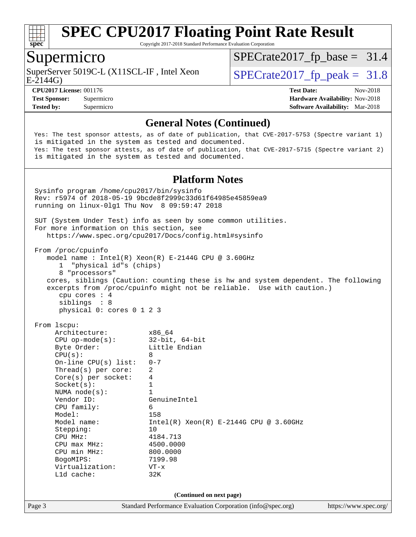

Copyright 2017-2018 Standard Performance Evaluation Corporation

### Supermicro

E-2144G) SuperServer 5019C-L (X11SCL-IF, Intel Xeon  $SPECrate2017_fp\_peak = 31.8$ 

 $SPECTate2017_fp\_base = 31.4$ 

**[Tested by:](http://www.spec.org/auto/cpu2017/Docs/result-fields.html#Testedby)** Supermicro **Supermicro [Software Availability:](http://www.spec.org/auto/cpu2017/Docs/result-fields.html#SoftwareAvailability)** Mar-2018

**[CPU2017 License:](http://www.spec.org/auto/cpu2017/Docs/result-fields.html#CPU2017License)** 001176 **[Test Date:](http://www.spec.org/auto/cpu2017/Docs/result-fields.html#TestDate)** Nov-2018 **[Test Sponsor:](http://www.spec.org/auto/cpu2017/Docs/result-fields.html#TestSponsor)** Supermicro **[Hardware Availability:](http://www.spec.org/auto/cpu2017/Docs/result-fields.html#HardwareAvailability)** Nov-2018

### **[General Notes \(Continued\)](http://www.spec.org/auto/cpu2017/Docs/result-fields.html#GeneralNotes)**

 Yes: The test sponsor attests, as of date of publication, that CVE-2017-5753 (Spectre variant 1) is mitigated in the system as tested and documented. Yes: The test sponsor attests, as of date of publication, that CVE-2017-5715 (Spectre variant 2) is mitigated in the system as tested and documented.

#### **[Platform Notes](http://www.spec.org/auto/cpu2017/Docs/result-fields.html#PlatformNotes)**

Page 3 Standard Performance Evaluation Corporation [\(info@spec.org\)](mailto:info@spec.org) <https://www.spec.org/> Sysinfo program /home/cpu2017/bin/sysinfo Rev: r5974 of 2018-05-19 9bcde8f2999c33d61f64985e45859ea9 running on linux-0lg1 Thu Nov 8 09:59:47 2018 SUT (System Under Test) info as seen by some common utilities. For more information on this section, see <https://www.spec.org/cpu2017/Docs/config.html#sysinfo> From /proc/cpuinfo model name : Intel(R) Xeon(R) E-2144G CPU @ 3.60GHz 1 "physical id"s (chips) 8 "processors" cores, siblings (Caution: counting these is hw and system dependent. The following excerpts from /proc/cpuinfo might not be reliable. Use with caution.) cpu cores : 4 siblings : 8 physical 0: cores 0 1 2 3 From lscpu: Architecture: x86\_64 CPU op-mode(s): 32-bit, 64-bit Byte Order: Little Endian  $CPU(s):$  8 On-line CPU(s) list: 0-7 Thread(s) per core: 2 Core(s) per socket: 4  $Sockets(s):$  1 NUMA node(s): 1 Vendor ID: GenuineIntel CPU family: 6 Model: 158 Model name:  $Intel(R)$  Xeon(R) E-2144G CPU @ 3.60GHz Stepping: 10 CPU MHz: 4184.713 CPU max MHz: 4500.0000 CPU min MHz: 800.0000 BogoMIPS: 7199.98 Virtualization: VT-x L1d cache: 32K **(Continued on next page)**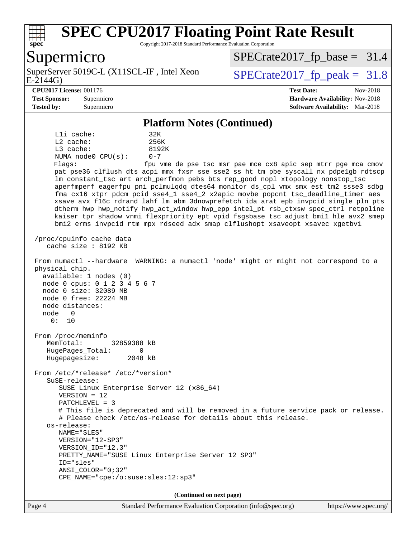

Copyright 2017-2018 Standard Performance Evaluation Corporation

### Supermicro

E-2144G) SuperServer 5019C-L (X11SCL-IF, Intel Xeon  $SPECrate2017_fp\_peak = 31.8$ 

 $SPECTate2017_fp\_base = 31.4$ 

#### **[CPU2017 License:](http://www.spec.org/auto/cpu2017/Docs/result-fields.html#CPU2017License)** 001176 **[Test Date:](http://www.spec.org/auto/cpu2017/Docs/result-fields.html#TestDate)** Nov-2018

**[Test Sponsor:](http://www.spec.org/auto/cpu2017/Docs/result-fields.html#TestSponsor)** Supermicro **[Hardware Availability:](http://www.spec.org/auto/cpu2017/Docs/result-fields.html#HardwareAvailability)** Nov-2018 **[Tested by:](http://www.spec.org/auto/cpu2017/Docs/result-fields.html#Testedby)** Supermicro **[Software Availability:](http://www.spec.org/auto/cpu2017/Docs/result-fields.html#SoftwareAvailability)** Mar-2018

#### **[Platform Notes \(Continued\)](http://www.spec.org/auto/cpu2017/Docs/result-fields.html#PlatformNotes)**

L1i cache: 32K L2 cache: 256K L3 cache: 8192K NUMA node0 CPU(s): 0-7 Flags: fpu vme de pse tsc msr pae mce cx8 apic sep mtrr pge mca cmov

 pat pse36 clflush dts acpi mmx fxsr sse sse2 ss ht tm pbe syscall nx pdpe1gb rdtscp lm constant\_tsc art arch\_perfmon pebs bts rep\_good nopl xtopology nonstop\_tsc aperfmperf eagerfpu pni pclmulqdq dtes64 monitor ds\_cpl vmx smx est tm2 ssse3 sdbg fma cx16 xtpr pdcm pcid sse4\_1 sse4\_2 x2apic movbe popcnt tsc\_deadline\_timer aes xsave avx f16c rdrand lahf\_lm abm 3dnowprefetch ida arat epb invpcid\_single pln pts dtherm hwp hwp\_notify hwp\_act\_window hwp\_epp intel\_pt rsb\_ctxsw spec\_ctrl retpoline kaiser tpr\_shadow vnmi flexpriority ept vpid fsgsbase tsc\_adjust bmi1 hle avx2 smep bmi2 erms invpcid rtm mpx rdseed adx smap clflushopt xsaveopt xsavec xgetbv1

 /proc/cpuinfo cache data cache size : 8192 KB

 From numactl --hardware WARNING: a numactl 'node' might or might not correspond to a physical chip.

 available: 1 nodes (0) node 0 cpus: 0 1 2 3 4 5 6 7 node 0 size: 32089 MB node 0 free: 22224 MB node distances: node 0 0: 10

 From /proc/meminfo MemTotal: 32859388 kB HugePages\_Total: 0 Hugepagesize: 2048 kB

From /etc/\*release\* /etc/\*version\*

 SuSE-release: SUSE Linux Enterprise Server 12 (x86\_64)

VERSION = 12

PATCHLEVEL = 3

 # This file is deprecated and will be removed in a future service pack or release. # Please check /etc/os-release for details about this release.

 os-release: NAME="SLES" VERSION="12-SP3"

ANSI\_COLOR="0;32"

 VERSION\_ID="12.3" PRETTY\_NAME="SUSE Linux Enterprise Server 12 SP3" ID="sles"

CPE\_NAME="cpe:/o:suse:sles:12:sp3"

**(Continued on next page)**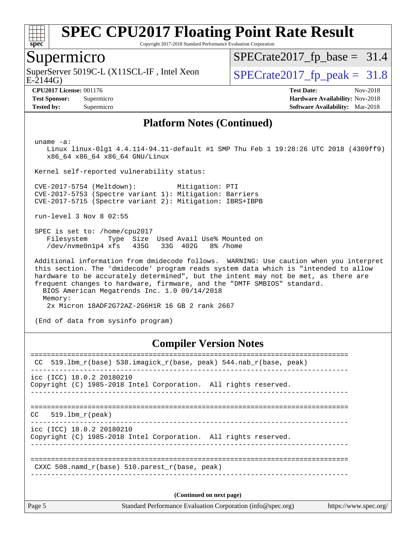

Copyright 2017-2018 Standard Performance Evaluation Corporation

### Supermicro

E-2144G) SuperServer 5019C-L (X11SCL-IF, Intel Xeon  $SPECrate2017_fp\_peak = 31.8$ 

[SPECrate2017\\_fp\\_base =](http://www.spec.org/auto/cpu2017/Docs/result-fields.html#SPECrate2017fpbase) 31.4

**[Tested by:](http://www.spec.org/auto/cpu2017/Docs/result-fields.html#Testedby)** Supermicro **[Software Availability:](http://www.spec.org/auto/cpu2017/Docs/result-fields.html#SoftwareAvailability)** Mar-2018

**[CPU2017 License:](http://www.spec.org/auto/cpu2017/Docs/result-fields.html#CPU2017License)** 001176 **[Test Date:](http://www.spec.org/auto/cpu2017/Docs/result-fields.html#TestDate)** Nov-2018 **[Test Sponsor:](http://www.spec.org/auto/cpu2017/Docs/result-fields.html#TestSponsor)** Supermicro **[Hardware Availability:](http://www.spec.org/auto/cpu2017/Docs/result-fields.html#HardwareAvailability)** Nov-2018

#### **[Platform Notes \(Continued\)](http://www.spec.org/auto/cpu2017/Docs/result-fields.html#PlatformNotes)**

uname -a:

 Linux linux-0lg1 4.4.114-94.11-default #1 SMP Thu Feb 1 19:28:26 UTC 2018 (4309ff9) x86\_64 x86\_64 x86\_64 GNU/Linux

Kernel self-reported vulnerability status:

 CVE-2017-5754 (Meltdown): Mitigation: PTI CVE-2017-5753 (Spectre variant 1): Mitigation: Barriers CVE-2017-5715 (Spectre variant 2): Mitigation: IBRS+IBPB

run-level 3 Nov 8 02:55

 SPEC is set to: /home/cpu2017 Filesystem Type Size Used Avail Use% Mounted on /dev/nvme0n1p4 xfs 435G 33G 402G 8% /home

 Additional information from dmidecode follows. WARNING: Use caution when you interpret this section. The 'dmidecode' program reads system data which is "intended to allow hardware to be accurately determined", but the intent may not be met, as there are frequent changes to hardware, firmware, and the "DMTF SMBIOS" standard. BIOS American Megatrends Inc. 1.0 09/14/2018 Memory: 2x Micron 18ADF2G72AZ-2G6H1R 16 GB 2 rank 2667

(End of data from sysinfo program)

#### **[Compiler Version Notes](http://www.spec.org/auto/cpu2017/Docs/result-fields.html#CompilerVersionNotes)**

| Page 5                    | Standard Performance Evaluation Corporation (info@spec.org)<br>https://www.spec.org/ |
|---------------------------|--------------------------------------------------------------------------------------|
|                           | (Continued on next page)                                                             |
|                           | CXXC 508. namd $r(base)$ 510. parest $r(base, peak)$                                 |
|                           |                                                                                      |
| icc (ICC) 18.0.2 20180210 | Copyright (C) 1985-2018 Intel Corporation. All rights reserved.                      |
| 519.1bm r(peak)<br>CC     |                                                                                      |
| icc (ICC) 18.0.2 20180210 | Copyright (C) 1985-2018 Intel Corporation. All rights reserved.                      |
| CC.                       | 519.1bm r(base) 538.imagick r(base, peak) 544.nab r(base, peak)                      |
|                           |                                                                                      |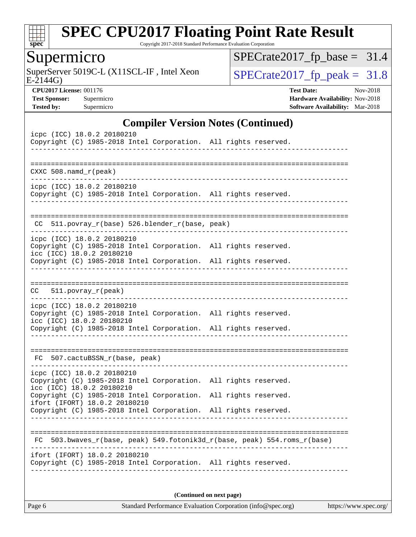

Copyright 2017-2018 Standard Performance Evaluation Corporation

# Supermicro

E-2144G) SuperServer 5019C-L (X11SCL-IF, Intel Xeon  $SPECrate2017_fp\_peak = 31.8$ 

 $SPECrate2017_fp\_base = 31.4$ 

**[CPU2017 License:](http://www.spec.org/auto/cpu2017/Docs/result-fields.html#CPU2017License)** 001176 **[Test Date:](http://www.spec.org/auto/cpu2017/Docs/result-fields.html#TestDate)** Nov-2018 **[Test Sponsor:](http://www.spec.org/auto/cpu2017/Docs/result-fields.html#TestSponsor)** Supermicro **[Hardware Availability:](http://www.spec.org/auto/cpu2017/Docs/result-fields.html#HardwareAvailability)** Nov-2018 **[Tested by:](http://www.spec.org/auto/cpu2017/Docs/result-fields.html#Testedby)** Supermicro **Supermicro [Software Availability:](http://www.spec.org/auto/cpu2017/Docs/result-fields.html#SoftwareAvailability)** Mar-2018

### **[Compiler Version Notes \(Continued\)](http://www.spec.org/auto/cpu2017/Docs/result-fields.html#CompilerVersionNotes)**

| icpc (ICC) 18.0.2 20180210<br>Copyright (C) 1985-2018 Intel Corporation. All rights reserved.                                                                       |  |  |
|---------------------------------------------------------------------------------------------------------------------------------------------------------------------|--|--|
| ======================================<br>CXXC $508.namd_r(peak)$                                                                                                   |  |  |
| icpc (ICC) 18.0.2 20180210<br>Copyright (C) 1985-2018 Intel Corporation. All rights reserved.                                                                       |  |  |
| $511.povray_r(base) 526.blender_r(base, peak)$<br>CC.                                                                                                               |  |  |
| icpc (ICC) 18.0.2 20180210<br>Copyright (C) 1985-2018 Intel Corporation. All rights reserved.<br>icc (ICC) 18.0.2 20180210                                          |  |  |
| Copyright (C) 1985-2018 Intel Corporation. All rights reserved.                                                                                                     |  |  |
| $511. povray_r (peak)$<br>CC.                                                                                                                                       |  |  |
| icpc (ICC) 18.0.2 20180210<br>Copyright (C) 1985-2018 Intel Corporation. All rights reserved.<br>icc (ICC) 18.0.2 20180210                                          |  |  |
| Copyright (C) 1985-2018 Intel Corporation. All rights reserved.                                                                                                     |  |  |
| FC 507.cactuBSSN_r(base, peak)                                                                                                                                      |  |  |
| icpc (ICC) 18.0.2 20180210<br>Copyright (C) 1985-2018 Intel Corporation. All rights reserved.<br>icc (ICC) 18.0.2 20180210                                          |  |  |
| Copyright (C) 1985-2018 Intel Corporation. All rights reserved.<br>ifort (IFORT) 18.0.2 20180210<br>Copyright (C) 1985-2018 Intel Corporation. All rights reserved. |  |  |
|                                                                                                                                                                     |  |  |
| 503.bwaves_r(base, peak) 549.fotonik3d_r(base, peak) 554.roms_r(base)<br>FC                                                                                         |  |  |
| ifort (IFORT) 18.0.2 20180210<br>Copyright (C) 1985-2018 Intel Corporation. All rights reserved.                                                                    |  |  |

**(Continued on next page)**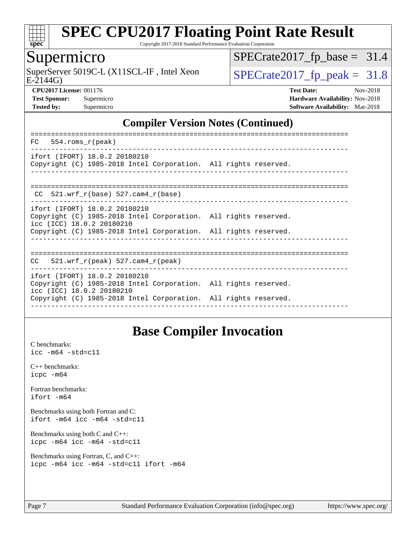

Copyright 2017-2018 Standard Performance Evaluation Corporation

### Supermicro

 $E-2144G$ SuperServer 5019C-L (X11SCL-IF, Intel Xeon  $\big|$  [SPECrate2017\\_fp\\_peak =](http://www.spec.org/auto/cpu2017/Docs/result-fields.html#SPECrate2017fppeak) 31.8

 $SPECrate2017_fp\_base = 31.4$ 

**[CPU2017 License:](http://www.spec.org/auto/cpu2017/Docs/result-fields.html#CPU2017License)** 001176 **[Test Date:](http://www.spec.org/auto/cpu2017/Docs/result-fields.html#TestDate)** Nov-2018 **[Test Sponsor:](http://www.spec.org/auto/cpu2017/Docs/result-fields.html#TestSponsor)** Supermicro **[Hardware Availability:](http://www.spec.org/auto/cpu2017/Docs/result-fields.html#HardwareAvailability)** Nov-2018 **[Tested by:](http://www.spec.org/auto/cpu2017/Docs/result-fields.html#Testedby)** Supermicro **[Software Availability:](http://www.spec.org/auto/cpu2017/Docs/result-fields.html#SoftwareAvailability)** Mar-2018

### **[Compiler Version Notes \(Continued\)](http://www.spec.org/auto/cpu2017/Docs/result-fields.html#CompilerVersionNotes)**

| FC<br>554.roms r(peak)                                                                                                                                                                           |  |
|--------------------------------------------------------------------------------------------------------------------------------------------------------------------------------------------------|--|
| ifort (IFORT) 18.0.2 20180210<br>Copyright (C) 1985-2018 Intel Corporation. All rights reserved.                                                                                                 |  |
| CC $521.$ wrf $r(base) 527.$ cam4 $r(base)$                                                                                                                                                      |  |
| ifort (IFORT) 18.0.2 20180210<br>Copyright (C) 1985-2018 Intel Corporation. All rights reserved.<br>icc (ICC) 18.0.2 20180210<br>Copyright (C) 1985-2018 Intel Corporation. All rights reserved. |  |
| 521.wrf $r(\text{peak})$ 527.cam4 $r(\text{peak})$<br>CC                                                                                                                                         |  |
| ifort (IFORT) 18.0.2 20180210<br>Copyright (C) 1985-2018 Intel Corporation. All rights reserved.<br>icc (ICC) 18.0.2 20180210<br>Copyright (C) 1985-2018 Intel Corporation. All rights reserved. |  |
|                                                                                                                                                                                                  |  |

# **[Base Compiler Invocation](http://www.spec.org/auto/cpu2017/Docs/result-fields.html#BaseCompilerInvocation)**

[C benchmarks](http://www.spec.org/auto/cpu2017/Docs/result-fields.html#Cbenchmarks): [icc -m64 -std=c11](http://www.spec.org/cpu2017/results/res2018q4/cpu2017-20181112-09585.flags.html#user_CCbase_intel_icc_64bit_c11_33ee0cdaae7deeeab2a9725423ba97205ce30f63b9926c2519791662299b76a0318f32ddfffdc46587804de3178b4f9328c46fa7c2b0cd779d7a61945c91cd35)

[C++ benchmarks:](http://www.spec.org/auto/cpu2017/Docs/result-fields.html#CXXbenchmarks) [icpc -m64](http://www.spec.org/cpu2017/results/res2018q4/cpu2017-20181112-09585.flags.html#user_CXXbase_intel_icpc_64bit_4ecb2543ae3f1412ef961e0650ca070fec7b7afdcd6ed48761b84423119d1bf6bdf5cad15b44d48e7256388bc77273b966e5eb805aefd121eb22e9299b2ec9d9)

[Fortran benchmarks](http://www.spec.org/auto/cpu2017/Docs/result-fields.html#Fortranbenchmarks): [ifort -m64](http://www.spec.org/cpu2017/results/res2018q4/cpu2017-20181112-09585.flags.html#user_FCbase_intel_ifort_64bit_24f2bb282fbaeffd6157abe4f878425411749daecae9a33200eee2bee2fe76f3b89351d69a8130dd5949958ce389cf37ff59a95e7a40d588e8d3a57e0c3fd751)

[Benchmarks using both Fortran and C](http://www.spec.org/auto/cpu2017/Docs/result-fields.html#BenchmarksusingbothFortranandC): [ifort -m64](http://www.spec.org/cpu2017/results/res2018q4/cpu2017-20181112-09585.flags.html#user_CC_FCbase_intel_ifort_64bit_24f2bb282fbaeffd6157abe4f878425411749daecae9a33200eee2bee2fe76f3b89351d69a8130dd5949958ce389cf37ff59a95e7a40d588e8d3a57e0c3fd751) [icc -m64 -std=c11](http://www.spec.org/cpu2017/results/res2018q4/cpu2017-20181112-09585.flags.html#user_CC_FCbase_intel_icc_64bit_c11_33ee0cdaae7deeeab2a9725423ba97205ce30f63b9926c2519791662299b76a0318f32ddfffdc46587804de3178b4f9328c46fa7c2b0cd779d7a61945c91cd35)

[Benchmarks using both C and C++](http://www.spec.org/auto/cpu2017/Docs/result-fields.html#BenchmarksusingbothCandCXX): [icpc -m64](http://www.spec.org/cpu2017/results/res2018q4/cpu2017-20181112-09585.flags.html#user_CC_CXXbase_intel_icpc_64bit_4ecb2543ae3f1412ef961e0650ca070fec7b7afdcd6ed48761b84423119d1bf6bdf5cad15b44d48e7256388bc77273b966e5eb805aefd121eb22e9299b2ec9d9) [icc -m64 -std=c11](http://www.spec.org/cpu2017/results/res2018q4/cpu2017-20181112-09585.flags.html#user_CC_CXXbase_intel_icc_64bit_c11_33ee0cdaae7deeeab2a9725423ba97205ce30f63b9926c2519791662299b76a0318f32ddfffdc46587804de3178b4f9328c46fa7c2b0cd779d7a61945c91cd35)

[Benchmarks using Fortran, C, and C++:](http://www.spec.org/auto/cpu2017/Docs/result-fields.html#BenchmarksusingFortranCandCXX) [icpc -m64](http://www.spec.org/cpu2017/results/res2018q4/cpu2017-20181112-09585.flags.html#user_CC_CXX_FCbase_intel_icpc_64bit_4ecb2543ae3f1412ef961e0650ca070fec7b7afdcd6ed48761b84423119d1bf6bdf5cad15b44d48e7256388bc77273b966e5eb805aefd121eb22e9299b2ec9d9) [icc -m64 -std=c11](http://www.spec.org/cpu2017/results/res2018q4/cpu2017-20181112-09585.flags.html#user_CC_CXX_FCbase_intel_icc_64bit_c11_33ee0cdaae7deeeab2a9725423ba97205ce30f63b9926c2519791662299b76a0318f32ddfffdc46587804de3178b4f9328c46fa7c2b0cd779d7a61945c91cd35) [ifort -m64](http://www.spec.org/cpu2017/results/res2018q4/cpu2017-20181112-09585.flags.html#user_CC_CXX_FCbase_intel_ifort_64bit_24f2bb282fbaeffd6157abe4f878425411749daecae9a33200eee2bee2fe76f3b89351d69a8130dd5949958ce389cf37ff59a95e7a40d588e8d3a57e0c3fd751)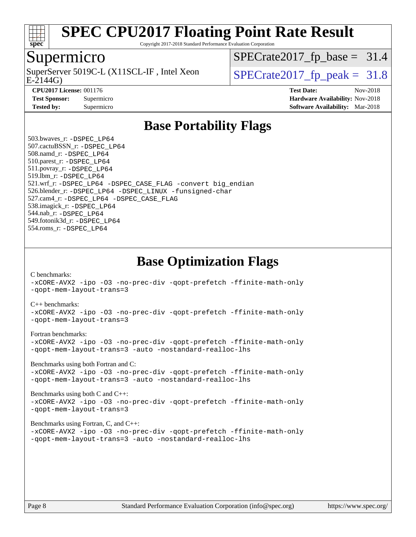

Copyright 2017-2018 Standard Performance Evaluation Corporation

### Supermicro

 $E-2144G$ SuperServer 5019C-L (X11SCL-IF, Intel Xeon  $SPECrate2017$  fp\_peak = 31.8

 $SPECrate2017_fp\_base = 31.4$ 

**[Tested by:](http://www.spec.org/auto/cpu2017/Docs/result-fields.html#Testedby)** Supermicro **Supermicro [Software Availability:](http://www.spec.org/auto/cpu2017/Docs/result-fields.html#SoftwareAvailability)** Mar-2018

**[CPU2017 License:](http://www.spec.org/auto/cpu2017/Docs/result-fields.html#CPU2017License)** 001176 **[Test Date:](http://www.spec.org/auto/cpu2017/Docs/result-fields.html#TestDate)** Nov-2018 **[Test Sponsor:](http://www.spec.org/auto/cpu2017/Docs/result-fields.html#TestSponsor)** Supermicro **[Hardware Availability:](http://www.spec.org/auto/cpu2017/Docs/result-fields.html#HardwareAvailability)** Nov-2018

## **[Base Portability Flags](http://www.spec.org/auto/cpu2017/Docs/result-fields.html#BasePortabilityFlags)**

 503.bwaves\_r: [-DSPEC\\_LP64](http://www.spec.org/cpu2017/results/res2018q4/cpu2017-20181112-09585.flags.html#suite_basePORTABILITY503_bwaves_r_DSPEC_LP64) 507.cactuBSSN\_r: [-DSPEC\\_LP64](http://www.spec.org/cpu2017/results/res2018q4/cpu2017-20181112-09585.flags.html#suite_basePORTABILITY507_cactuBSSN_r_DSPEC_LP64) 508.namd\_r: [-DSPEC\\_LP64](http://www.spec.org/cpu2017/results/res2018q4/cpu2017-20181112-09585.flags.html#suite_basePORTABILITY508_namd_r_DSPEC_LP64) 510.parest\_r: [-DSPEC\\_LP64](http://www.spec.org/cpu2017/results/res2018q4/cpu2017-20181112-09585.flags.html#suite_basePORTABILITY510_parest_r_DSPEC_LP64) 511.povray\_r: [-DSPEC\\_LP64](http://www.spec.org/cpu2017/results/res2018q4/cpu2017-20181112-09585.flags.html#suite_basePORTABILITY511_povray_r_DSPEC_LP64) 519.lbm\_r: [-DSPEC\\_LP64](http://www.spec.org/cpu2017/results/res2018q4/cpu2017-20181112-09585.flags.html#suite_basePORTABILITY519_lbm_r_DSPEC_LP64) 521.wrf\_r: [-DSPEC\\_LP64](http://www.spec.org/cpu2017/results/res2018q4/cpu2017-20181112-09585.flags.html#suite_basePORTABILITY521_wrf_r_DSPEC_LP64) [-DSPEC\\_CASE\\_FLAG](http://www.spec.org/cpu2017/results/res2018q4/cpu2017-20181112-09585.flags.html#b521.wrf_r_baseCPORTABILITY_DSPEC_CASE_FLAG) [-convert big\\_endian](http://www.spec.org/cpu2017/results/res2018q4/cpu2017-20181112-09585.flags.html#user_baseFPORTABILITY521_wrf_r_convert_big_endian_c3194028bc08c63ac5d04de18c48ce6d347e4e562e8892b8bdbdc0214820426deb8554edfa529a3fb25a586e65a3d812c835984020483e7e73212c4d31a38223) 526.blender\_r: [-DSPEC\\_LP64](http://www.spec.org/cpu2017/results/res2018q4/cpu2017-20181112-09585.flags.html#suite_basePORTABILITY526_blender_r_DSPEC_LP64) [-DSPEC\\_LINUX](http://www.spec.org/cpu2017/results/res2018q4/cpu2017-20181112-09585.flags.html#b526.blender_r_baseCPORTABILITY_DSPEC_LINUX) [-funsigned-char](http://www.spec.org/cpu2017/results/res2018q4/cpu2017-20181112-09585.flags.html#user_baseCPORTABILITY526_blender_r_force_uchar_40c60f00ab013830e2dd6774aeded3ff59883ba5a1fc5fc14077f794d777847726e2a5858cbc7672e36e1b067e7e5c1d9a74f7176df07886a243d7cc18edfe67) 527.cam4\_r: [-DSPEC\\_LP64](http://www.spec.org/cpu2017/results/res2018q4/cpu2017-20181112-09585.flags.html#suite_basePORTABILITY527_cam4_r_DSPEC_LP64) [-DSPEC\\_CASE\\_FLAG](http://www.spec.org/cpu2017/results/res2018q4/cpu2017-20181112-09585.flags.html#b527.cam4_r_baseCPORTABILITY_DSPEC_CASE_FLAG) 538.imagick\_r: [-DSPEC\\_LP64](http://www.spec.org/cpu2017/results/res2018q4/cpu2017-20181112-09585.flags.html#suite_basePORTABILITY538_imagick_r_DSPEC_LP64) 544.nab\_r: [-DSPEC\\_LP64](http://www.spec.org/cpu2017/results/res2018q4/cpu2017-20181112-09585.flags.html#suite_basePORTABILITY544_nab_r_DSPEC_LP64) 549.fotonik3d\_r: [-DSPEC\\_LP64](http://www.spec.org/cpu2017/results/res2018q4/cpu2017-20181112-09585.flags.html#suite_basePORTABILITY549_fotonik3d_r_DSPEC_LP64) 554.roms\_r: [-DSPEC\\_LP64](http://www.spec.org/cpu2017/results/res2018q4/cpu2017-20181112-09585.flags.html#suite_basePORTABILITY554_roms_r_DSPEC_LP64)

**[Base Optimization Flags](http://www.spec.org/auto/cpu2017/Docs/result-fields.html#BaseOptimizationFlags)**

[C benchmarks](http://www.spec.org/auto/cpu2017/Docs/result-fields.html#Cbenchmarks):

[-xCORE-AVX2](http://www.spec.org/cpu2017/results/res2018q4/cpu2017-20181112-09585.flags.html#user_CCbase_f-xCORE-AVX2) [-ipo](http://www.spec.org/cpu2017/results/res2018q4/cpu2017-20181112-09585.flags.html#user_CCbase_f-ipo) [-O3](http://www.spec.org/cpu2017/results/res2018q4/cpu2017-20181112-09585.flags.html#user_CCbase_f-O3) [-no-prec-div](http://www.spec.org/cpu2017/results/res2018q4/cpu2017-20181112-09585.flags.html#user_CCbase_f-no-prec-div) [-qopt-prefetch](http://www.spec.org/cpu2017/results/res2018q4/cpu2017-20181112-09585.flags.html#user_CCbase_f-qopt-prefetch) [-ffinite-math-only](http://www.spec.org/cpu2017/results/res2018q4/cpu2017-20181112-09585.flags.html#user_CCbase_f_finite_math_only_cb91587bd2077682c4b38af759c288ed7c732db004271a9512da14a4f8007909a5f1427ecbf1a0fb78ff2a814402c6114ac565ca162485bbcae155b5e4258871) [-qopt-mem-layout-trans=3](http://www.spec.org/cpu2017/results/res2018q4/cpu2017-20181112-09585.flags.html#user_CCbase_f-qopt-mem-layout-trans_de80db37974c74b1f0e20d883f0b675c88c3b01e9d123adea9b28688d64333345fb62bc4a798493513fdb68f60282f9a726aa07f478b2f7113531aecce732043)

#### [C++ benchmarks:](http://www.spec.org/auto/cpu2017/Docs/result-fields.html#CXXbenchmarks)

[-xCORE-AVX2](http://www.spec.org/cpu2017/results/res2018q4/cpu2017-20181112-09585.flags.html#user_CXXbase_f-xCORE-AVX2) [-ipo](http://www.spec.org/cpu2017/results/res2018q4/cpu2017-20181112-09585.flags.html#user_CXXbase_f-ipo) [-O3](http://www.spec.org/cpu2017/results/res2018q4/cpu2017-20181112-09585.flags.html#user_CXXbase_f-O3) [-no-prec-div](http://www.spec.org/cpu2017/results/res2018q4/cpu2017-20181112-09585.flags.html#user_CXXbase_f-no-prec-div) [-qopt-prefetch](http://www.spec.org/cpu2017/results/res2018q4/cpu2017-20181112-09585.flags.html#user_CXXbase_f-qopt-prefetch) [-ffinite-math-only](http://www.spec.org/cpu2017/results/res2018q4/cpu2017-20181112-09585.flags.html#user_CXXbase_f_finite_math_only_cb91587bd2077682c4b38af759c288ed7c732db004271a9512da14a4f8007909a5f1427ecbf1a0fb78ff2a814402c6114ac565ca162485bbcae155b5e4258871) [-qopt-mem-layout-trans=3](http://www.spec.org/cpu2017/results/res2018q4/cpu2017-20181112-09585.flags.html#user_CXXbase_f-qopt-mem-layout-trans_de80db37974c74b1f0e20d883f0b675c88c3b01e9d123adea9b28688d64333345fb62bc4a798493513fdb68f60282f9a726aa07f478b2f7113531aecce732043)

#### [Fortran benchmarks](http://www.spec.org/auto/cpu2017/Docs/result-fields.html#Fortranbenchmarks):

[-xCORE-AVX2](http://www.spec.org/cpu2017/results/res2018q4/cpu2017-20181112-09585.flags.html#user_FCbase_f-xCORE-AVX2) [-ipo](http://www.spec.org/cpu2017/results/res2018q4/cpu2017-20181112-09585.flags.html#user_FCbase_f-ipo) [-O3](http://www.spec.org/cpu2017/results/res2018q4/cpu2017-20181112-09585.flags.html#user_FCbase_f-O3) [-no-prec-div](http://www.spec.org/cpu2017/results/res2018q4/cpu2017-20181112-09585.flags.html#user_FCbase_f-no-prec-div) [-qopt-prefetch](http://www.spec.org/cpu2017/results/res2018q4/cpu2017-20181112-09585.flags.html#user_FCbase_f-qopt-prefetch) [-ffinite-math-only](http://www.spec.org/cpu2017/results/res2018q4/cpu2017-20181112-09585.flags.html#user_FCbase_f_finite_math_only_cb91587bd2077682c4b38af759c288ed7c732db004271a9512da14a4f8007909a5f1427ecbf1a0fb78ff2a814402c6114ac565ca162485bbcae155b5e4258871) [-qopt-mem-layout-trans=3](http://www.spec.org/cpu2017/results/res2018q4/cpu2017-20181112-09585.flags.html#user_FCbase_f-qopt-mem-layout-trans_de80db37974c74b1f0e20d883f0b675c88c3b01e9d123adea9b28688d64333345fb62bc4a798493513fdb68f60282f9a726aa07f478b2f7113531aecce732043) [-auto](http://www.spec.org/cpu2017/results/res2018q4/cpu2017-20181112-09585.flags.html#user_FCbase_f-auto) [-nostandard-realloc-lhs](http://www.spec.org/cpu2017/results/res2018q4/cpu2017-20181112-09585.flags.html#user_FCbase_f_2003_std_realloc_82b4557e90729c0f113870c07e44d33d6f5a304b4f63d4c15d2d0f1fab99f5daaed73bdb9275d9ae411527f28b936061aa8b9c8f2d63842963b95c9dd6426b8a)

[Benchmarks using both Fortran and C](http://www.spec.org/auto/cpu2017/Docs/result-fields.html#BenchmarksusingbothFortranandC):

[-xCORE-AVX2](http://www.spec.org/cpu2017/results/res2018q4/cpu2017-20181112-09585.flags.html#user_CC_FCbase_f-xCORE-AVX2) [-ipo](http://www.spec.org/cpu2017/results/res2018q4/cpu2017-20181112-09585.flags.html#user_CC_FCbase_f-ipo) [-O3](http://www.spec.org/cpu2017/results/res2018q4/cpu2017-20181112-09585.flags.html#user_CC_FCbase_f-O3) [-no-prec-div](http://www.spec.org/cpu2017/results/res2018q4/cpu2017-20181112-09585.flags.html#user_CC_FCbase_f-no-prec-div) [-qopt-prefetch](http://www.spec.org/cpu2017/results/res2018q4/cpu2017-20181112-09585.flags.html#user_CC_FCbase_f-qopt-prefetch) [-ffinite-math-only](http://www.spec.org/cpu2017/results/res2018q4/cpu2017-20181112-09585.flags.html#user_CC_FCbase_f_finite_math_only_cb91587bd2077682c4b38af759c288ed7c732db004271a9512da14a4f8007909a5f1427ecbf1a0fb78ff2a814402c6114ac565ca162485bbcae155b5e4258871) [-qopt-mem-layout-trans=3](http://www.spec.org/cpu2017/results/res2018q4/cpu2017-20181112-09585.flags.html#user_CC_FCbase_f-qopt-mem-layout-trans_de80db37974c74b1f0e20d883f0b675c88c3b01e9d123adea9b28688d64333345fb62bc4a798493513fdb68f60282f9a726aa07f478b2f7113531aecce732043) [-auto](http://www.spec.org/cpu2017/results/res2018q4/cpu2017-20181112-09585.flags.html#user_CC_FCbase_f-auto) [-nostandard-realloc-lhs](http://www.spec.org/cpu2017/results/res2018q4/cpu2017-20181112-09585.flags.html#user_CC_FCbase_f_2003_std_realloc_82b4557e90729c0f113870c07e44d33d6f5a304b4f63d4c15d2d0f1fab99f5daaed73bdb9275d9ae411527f28b936061aa8b9c8f2d63842963b95c9dd6426b8a)

[Benchmarks using both C and C++](http://www.spec.org/auto/cpu2017/Docs/result-fields.html#BenchmarksusingbothCandCXX): [-xCORE-AVX2](http://www.spec.org/cpu2017/results/res2018q4/cpu2017-20181112-09585.flags.html#user_CC_CXXbase_f-xCORE-AVX2) [-ipo](http://www.spec.org/cpu2017/results/res2018q4/cpu2017-20181112-09585.flags.html#user_CC_CXXbase_f-ipo) [-O3](http://www.spec.org/cpu2017/results/res2018q4/cpu2017-20181112-09585.flags.html#user_CC_CXXbase_f-O3) [-no-prec-div](http://www.spec.org/cpu2017/results/res2018q4/cpu2017-20181112-09585.flags.html#user_CC_CXXbase_f-no-prec-div) [-qopt-prefetch](http://www.spec.org/cpu2017/results/res2018q4/cpu2017-20181112-09585.flags.html#user_CC_CXXbase_f-qopt-prefetch) [-ffinite-math-only](http://www.spec.org/cpu2017/results/res2018q4/cpu2017-20181112-09585.flags.html#user_CC_CXXbase_f_finite_math_only_cb91587bd2077682c4b38af759c288ed7c732db004271a9512da14a4f8007909a5f1427ecbf1a0fb78ff2a814402c6114ac565ca162485bbcae155b5e4258871) [-qopt-mem-layout-trans=3](http://www.spec.org/cpu2017/results/res2018q4/cpu2017-20181112-09585.flags.html#user_CC_CXXbase_f-qopt-mem-layout-trans_de80db37974c74b1f0e20d883f0b675c88c3b01e9d123adea9b28688d64333345fb62bc4a798493513fdb68f60282f9a726aa07f478b2f7113531aecce732043)

#### [Benchmarks using Fortran, C, and C++:](http://www.spec.org/auto/cpu2017/Docs/result-fields.html#BenchmarksusingFortranCandCXX)

[-xCORE-AVX2](http://www.spec.org/cpu2017/results/res2018q4/cpu2017-20181112-09585.flags.html#user_CC_CXX_FCbase_f-xCORE-AVX2) [-ipo](http://www.spec.org/cpu2017/results/res2018q4/cpu2017-20181112-09585.flags.html#user_CC_CXX_FCbase_f-ipo) [-O3](http://www.spec.org/cpu2017/results/res2018q4/cpu2017-20181112-09585.flags.html#user_CC_CXX_FCbase_f-O3) [-no-prec-div](http://www.spec.org/cpu2017/results/res2018q4/cpu2017-20181112-09585.flags.html#user_CC_CXX_FCbase_f-no-prec-div) [-qopt-prefetch](http://www.spec.org/cpu2017/results/res2018q4/cpu2017-20181112-09585.flags.html#user_CC_CXX_FCbase_f-qopt-prefetch) [-ffinite-math-only](http://www.spec.org/cpu2017/results/res2018q4/cpu2017-20181112-09585.flags.html#user_CC_CXX_FCbase_f_finite_math_only_cb91587bd2077682c4b38af759c288ed7c732db004271a9512da14a4f8007909a5f1427ecbf1a0fb78ff2a814402c6114ac565ca162485bbcae155b5e4258871) [-qopt-mem-layout-trans=3](http://www.spec.org/cpu2017/results/res2018q4/cpu2017-20181112-09585.flags.html#user_CC_CXX_FCbase_f-qopt-mem-layout-trans_de80db37974c74b1f0e20d883f0b675c88c3b01e9d123adea9b28688d64333345fb62bc4a798493513fdb68f60282f9a726aa07f478b2f7113531aecce732043) [-auto](http://www.spec.org/cpu2017/results/res2018q4/cpu2017-20181112-09585.flags.html#user_CC_CXX_FCbase_f-auto) [-nostandard-realloc-lhs](http://www.spec.org/cpu2017/results/res2018q4/cpu2017-20181112-09585.flags.html#user_CC_CXX_FCbase_f_2003_std_realloc_82b4557e90729c0f113870c07e44d33d6f5a304b4f63d4c15d2d0f1fab99f5daaed73bdb9275d9ae411527f28b936061aa8b9c8f2d63842963b95c9dd6426b8a)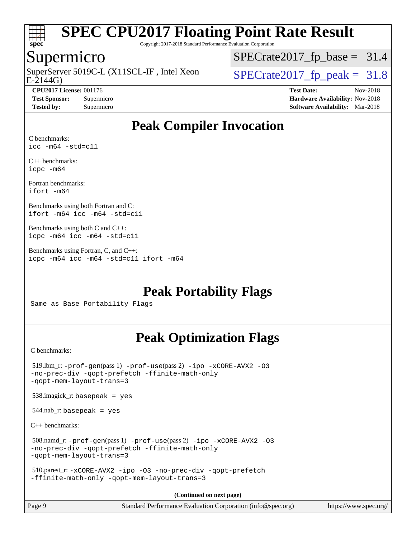

Copyright 2017-2018 Standard Performance Evaluation Corporation

### Supermicro

E-2144G) SuperServer 5019C-L (X11SCL-IF, Intel Xeon  $\big|$  [SPECrate2017\\_fp\\_peak =](http://www.spec.org/auto/cpu2017/Docs/result-fields.html#SPECrate2017fppeak) 31.8

 $SPECrate2017_fp\_base = 31.4$ 

**[CPU2017 License:](http://www.spec.org/auto/cpu2017/Docs/result-fields.html#CPU2017License)** 001176 **[Test Date:](http://www.spec.org/auto/cpu2017/Docs/result-fields.html#TestDate)** Nov-2018 **[Test Sponsor:](http://www.spec.org/auto/cpu2017/Docs/result-fields.html#TestSponsor)** Supermicro **[Hardware Availability:](http://www.spec.org/auto/cpu2017/Docs/result-fields.html#HardwareAvailability)** Nov-2018 **[Tested by:](http://www.spec.org/auto/cpu2017/Docs/result-fields.html#Testedby)** Supermicro **[Software Availability:](http://www.spec.org/auto/cpu2017/Docs/result-fields.html#SoftwareAvailability)** Mar-2018

# **[Peak Compiler Invocation](http://www.spec.org/auto/cpu2017/Docs/result-fields.html#PeakCompilerInvocation)**

[C benchmarks:](http://www.spec.org/auto/cpu2017/Docs/result-fields.html#Cbenchmarks) [icc -m64 -std=c11](http://www.spec.org/cpu2017/results/res2018q4/cpu2017-20181112-09585.flags.html#user_CCpeak_intel_icc_64bit_c11_33ee0cdaae7deeeab2a9725423ba97205ce30f63b9926c2519791662299b76a0318f32ddfffdc46587804de3178b4f9328c46fa7c2b0cd779d7a61945c91cd35)

[C++ benchmarks:](http://www.spec.org/auto/cpu2017/Docs/result-fields.html#CXXbenchmarks) [icpc -m64](http://www.spec.org/cpu2017/results/res2018q4/cpu2017-20181112-09585.flags.html#user_CXXpeak_intel_icpc_64bit_4ecb2543ae3f1412ef961e0650ca070fec7b7afdcd6ed48761b84423119d1bf6bdf5cad15b44d48e7256388bc77273b966e5eb805aefd121eb22e9299b2ec9d9)

[Fortran benchmarks](http://www.spec.org/auto/cpu2017/Docs/result-fields.html#Fortranbenchmarks): [ifort -m64](http://www.spec.org/cpu2017/results/res2018q4/cpu2017-20181112-09585.flags.html#user_FCpeak_intel_ifort_64bit_24f2bb282fbaeffd6157abe4f878425411749daecae9a33200eee2bee2fe76f3b89351d69a8130dd5949958ce389cf37ff59a95e7a40d588e8d3a57e0c3fd751)

[Benchmarks using both Fortran and C:](http://www.spec.org/auto/cpu2017/Docs/result-fields.html#BenchmarksusingbothFortranandC) [ifort -m64](http://www.spec.org/cpu2017/results/res2018q4/cpu2017-20181112-09585.flags.html#user_CC_FCpeak_intel_ifort_64bit_24f2bb282fbaeffd6157abe4f878425411749daecae9a33200eee2bee2fe76f3b89351d69a8130dd5949958ce389cf37ff59a95e7a40d588e8d3a57e0c3fd751) [icc -m64 -std=c11](http://www.spec.org/cpu2017/results/res2018q4/cpu2017-20181112-09585.flags.html#user_CC_FCpeak_intel_icc_64bit_c11_33ee0cdaae7deeeab2a9725423ba97205ce30f63b9926c2519791662299b76a0318f32ddfffdc46587804de3178b4f9328c46fa7c2b0cd779d7a61945c91cd35)

[Benchmarks using both C and C++](http://www.spec.org/auto/cpu2017/Docs/result-fields.html#BenchmarksusingbothCandCXX): [icpc -m64](http://www.spec.org/cpu2017/results/res2018q4/cpu2017-20181112-09585.flags.html#user_CC_CXXpeak_intel_icpc_64bit_4ecb2543ae3f1412ef961e0650ca070fec7b7afdcd6ed48761b84423119d1bf6bdf5cad15b44d48e7256388bc77273b966e5eb805aefd121eb22e9299b2ec9d9) [icc -m64 -std=c11](http://www.spec.org/cpu2017/results/res2018q4/cpu2017-20181112-09585.flags.html#user_CC_CXXpeak_intel_icc_64bit_c11_33ee0cdaae7deeeab2a9725423ba97205ce30f63b9926c2519791662299b76a0318f32ddfffdc46587804de3178b4f9328c46fa7c2b0cd779d7a61945c91cd35)

[Benchmarks using Fortran, C, and C++:](http://www.spec.org/auto/cpu2017/Docs/result-fields.html#BenchmarksusingFortranCandCXX) [icpc -m64](http://www.spec.org/cpu2017/results/res2018q4/cpu2017-20181112-09585.flags.html#user_CC_CXX_FCpeak_intel_icpc_64bit_4ecb2543ae3f1412ef961e0650ca070fec7b7afdcd6ed48761b84423119d1bf6bdf5cad15b44d48e7256388bc77273b966e5eb805aefd121eb22e9299b2ec9d9) [icc -m64 -std=c11](http://www.spec.org/cpu2017/results/res2018q4/cpu2017-20181112-09585.flags.html#user_CC_CXX_FCpeak_intel_icc_64bit_c11_33ee0cdaae7deeeab2a9725423ba97205ce30f63b9926c2519791662299b76a0318f32ddfffdc46587804de3178b4f9328c46fa7c2b0cd779d7a61945c91cd35) [ifort -m64](http://www.spec.org/cpu2017/results/res2018q4/cpu2017-20181112-09585.flags.html#user_CC_CXX_FCpeak_intel_ifort_64bit_24f2bb282fbaeffd6157abe4f878425411749daecae9a33200eee2bee2fe76f3b89351d69a8130dd5949958ce389cf37ff59a95e7a40d588e8d3a57e0c3fd751)

**[Peak Portability Flags](http://www.spec.org/auto/cpu2017/Docs/result-fields.html#PeakPortabilityFlags)**

Same as Base Portability Flags

# **[Peak Optimization Flags](http://www.spec.org/auto/cpu2017/Docs/result-fields.html#PeakOptimizationFlags)**

[C benchmarks](http://www.spec.org/auto/cpu2017/Docs/result-fields.html#Cbenchmarks):

| Page 9                                 | Standard Performance Evaluation Corporation (info@spec.org)                                                               | https://www.spec.org/ |
|----------------------------------------|---------------------------------------------------------------------------------------------------------------------------|-----------------------|
|                                        | (Continued on next page)                                                                                                  |                       |
|                                        | 510.parest_r: -xCORE-AVX2 -ipo -03 -no-prec-div -qopt-prefetch<br>-ffinite-math-only -gopt-mem-layout-trans=3             |                       |
| -qopt-mem-layout-trans=3               | $508$ .namd_r: -prof-gen(pass 1) -prof-use(pass 2) -ipo -xCORE-AVX2 -03<br>-no-prec-div -qopt-prefetch -ffinite-math-only |                       |
| $C_{++}$ benchmarks:                   |                                                                                                                           |                       |
| $544$ .nab_r: basepeak = yes           |                                                                                                                           |                       |
| $538.\text{imagek}_r$ : basepeak = yes |                                                                                                                           |                       |
| -qopt-mem-layout-trans=3               | $519.$ lbm_r: -prof-qen(pass 1) -prof-use(pass 2) -ipo -xCORE-AVX2 -03<br>-no-prec-div -qopt-prefetch -ffinite-math-only  |                       |
|                                        |                                                                                                                           |                       |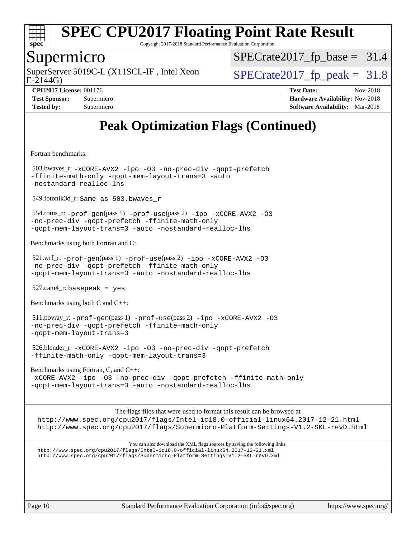

Copyright 2017-2018 Standard Performance Evaluation Corporation

### Supermicro

E-2144G) SuperServer 5019C-L (X11SCL-IF, Intel Xeon  $SPECrate2017$  fp\_peak = 31.8

 $SPECTate2017_fp\_base = 31.4$ 

**[Tested by:](http://www.spec.org/auto/cpu2017/Docs/result-fields.html#Testedby)** Supermicro **Supermicro [Software Availability:](http://www.spec.org/auto/cpu2017/Docs/result-fields.html#SoftwareAvailability)** Mar-2018

**[CPU2017 License:](http://www.spec.org/auto/cpu2017/Docs/result-fields.html#CPU2017License)** 001176 **[Test Date:](http://www.spec.org/auto/cpu2017/Docs/result-fields.html#TestDate)** Nov-2018 **[Test Sponsor:](http://www.spec.org/auto/cpu2017/Docs/result-fields.html#TestSponsor)** Supermicro **[Hardware Availability:](http://www.spec.org/auto/cpu2017/Docs/result-fields.html#HardwareAvailability)** Nov-2018

# **[Peak Optimization Flags \(Continued\)](http://www.spec.org/auto/cpu2017/Docs/result-fields.html#PeakOptimizationFlags)**

[Fortran benchmarks](http://www.spec.org/auto/cpu2017/Docs/result-fields.html#Fortranbenchmarks):

 503.bwaves\_r: [-xCORE-AVX2](http://www.spec.org/cpu2017/results/res2018q4/cpu2017-20181112-09585.flags.html#user_peakFOPTIMIZE503_bwaves_r_f-xCORE-AVX2) [-ipo](http://www.spec.org/cpu2017/results/res2018q4/cpu2017-20181112-09585.flags.html#user_peakFOPTIMIZE503_bwaves_r_f-ipo) [-O3](http://www.spec.org/cpu2017/results/res2018q4/cpu2017-20181112-09585.flags.html#user_peakFOPTIMIZE503_bwaves_r_f-O3) [-no-prec-div](http://www.spec.org/cpu2017/results/res2018q4/cpu2017-20181112-09585.flags.html#user_peakFOPTIMIZE503_bwaves_r_f-no-prec-div) [-qopt-prefetch](http://www.spec.org/cpu2017/results/res2018q4/cpu2017-20181112-09585.flags.html#user_peakFOPTIMIZE503_bwaves_r_f-qopt-prefetch) [-ffinite-math-only](http://www.spec.org/cpu2017/results/res2018q4/cpu2017-20181112-09585.flags.html#user_peakFOPTIMIZE503_bwaves_r_f_finite_math_only_cb91587bd2077682c4b38af759c288ed7c732db004271a9512da14a4f8007909a5f1427ecbf1a0fb78ff2a814402c6114ac565ca162485bbcae155b5e4258871) [-qopt-mem-layout-trans=3](http://www.spec.org/cpu2017/results/res2018q4/cpu2017-20181112-09585.flags.html#user_peakFOPTIMIZE503_bwaves_r_f-qopt-mem-layout-trans_de80db37974c74b1f0e20d883f0b675c88c3b01e9d123adea9b28688d64333345fb62bc4a798493513fdb68f60282f9a726aa07f478b2f7113531aecce732043) [-auto](http://www.spec.org/cpu2017/results/res2018q4/cpu2017-20181112-09585.flags.html#user_peakFOPTIMIZE503_bwaves_r_f-auto) [-nostandard-realloc-lhs](http://www.spec.org/cpu2017/results/res2018q4/cpu2017-20181112-09585.flags.html#user_peakEXTRA_FOPTIMIZE503_bwaves_r_f_2003_std_realloc_82b4557e90729c0f113870c07e44d33d6f5a304b4f63d4c15d2d0f1fab99f5daaed73bdb9275d9ae411527f28b936061aa8b9c8f2d63842963b95c9dd6426b8a)

549.fotonik3d\_r: Same as 503.bwaves\_r

 554.roms\_r: [-prof-gen](http://www.spec.org/cpu2017/results/res2018q4/cpu2017-20181112-09585.flags.html#user_peakPASS1_FFLAGSPASS1_LDFLAGS554_roms_r_prof_gen_5aa4926d6013ddb2a31985c654b3eb18169fc0c6952a63635c234f711e6e63dd76e94ad52365559451ec499a2cdb89e4dc58ba4c67ef54ca681ffbe1461d6b36)(pass 1) [-prof-use](http://www.spec.org/cpu2017/results/res2018q4/cpu2017-20181112-09585.flags.html#user_peakPASS2_FFLAGSPASS2_LDFLAGS554_roms_r_prof_use_1a21ceae95f36a2b53c25747139a6c16ca95bd9def2a207b4f0849963b97e94f5260e30a0c64f4bb623698870e679ca08317ef8150905d41bd88c6f78df73f19)(pass 2) [-ipo](http://www.spec.org/cpu2017/results/res2018q4/cpu2017-20181112-09585.flags.html#user_peakPASS1_FOPTIMIZEPASS2_FOPTIMIZE554_roms_r_f-ipo) [-xCORE-AVX2](http://www.spec.org/cpu2017/results/res2018q4/cpu2017-20181112-09585.flags.html#user_peakPASS2_FOPTIMIZE554_roms_r_f-xCORE-AVX2) [-O3](http://www.spec.org/cpu2017/results/res2018q4/cpu2017-20181112-09585.flags.html#user_peakPASS1_FOPTIMIZEPASS2_FOPTIMIZE554_roms_r_f-O3) [-no-prec-div](http://www.spec.org/cpu2017/results/res2018q4/cpu2017-20181112-09585.flags.html#user_peakPASS1_FOPTIMIZEPASS2_FOPTIMIZE554_roms_r_f-no-prec-div) [-qopt-prefetch](http://www.spec.org/cpu2017/results/res2018q4/cpu2017-20181112-09585.flags.html#user_peakPASS1_FOPTIMIZEPASS2_FOPTIMIZE554_roms_r_f-qopt-prefetch) [-ffinite-math-only](http://www.spec.org/cpu2017/results/res2018q4/cpu2017-20181112-09585.flags.html#user_peakPASS1_FOPTIMIZEPASS2_FOPTIMIZE554_roms_r_f_finite_math_only_cb91587bd2077682c4b38af759c288ed7c732db004271a9512da14a4f8007909a5f1427ecbf1a0fb78ff2a814402c6114ac565ca162485bbcae155b5e4258871) [-qopt-mem-layout-trans=3](http://www.spec.org/cpu2017/results/res2018q4/cpu2017-20181112-09585.flags.html#user_peakPASS1_FOPTIMIZEPASS2_FOPTIMIZE554_roms_r_f-qopt-mem-layout-trans_de80db37974c74b1f0e20d883f0b675c88c3b01e9d123adea9b28688d64333345fb62bc4a798493513fdb68f60282f9a726aa07f478b2f7113531aecce732043) [-auto](http://www.spec.org/cpu2017/results/res2018q4/cpu2017-20181112-09585.flags.html#user_peakPASS2_FOPTIMIZE554_roms_r_f-auto) [-nostandard-realloc-lhs](http://www.spec.org/cpu2017/results/res2018q4/cpu2017-20181112-09585.flags.html#user_peakEXTRA_FOPTIMIZE554_roms_r_f_2003_std_realloc_82b4557e90729c0f113870c07e44d33d6f5a304b4f63d4c15d2d0f1fab99f5daaed73bdb9275d9ae411527f28b936061aa8b9c8f2d63842963b95c9dd6426b8a)

[Benchmarks using both Fortran and C](http://www.spec.org/auto/cpu2017/Docs/result-fields.html#BenchmarksusingbothFortranandC):

 521.wrf\_r: [-prof-gen](http://www.spec.org/cpu2017/results/res2018q4/cpu2017-20181112-09585.flags.html#user_peakPASS1_CFLAGSPASS1_FFLAGSPASS1_LDFLAGS521_wrf_r_prof_gen_5aa4926d6013ddb2a31985c654b3eb18169fc0c6952a63635c234f711e6e63dd76e94ad52365559451ec499a2cdb89e4dc58ba4c67ef54ca681ffbe1461d6b36)(pass 1) [-prof-use](http://www.spec.org/cpu2017/results/res2018q4/cpu2017-20181112-09585.flags.html#user_peakPASS2_CFLAGSPASS2_FFLAGSPASS2_LDFLAGS521_wrf_r_prof_use_1a21ceae95f36a2b53c25747139a6c16ca95bd9def2a207b4f0849963b97e94f5260e30a0c64f4bb623698870e679ca08317ef8150905d41bd88c6f78df73f19)(pass 2) [-ipo](http://www.spec.org/cpu2017/results/res2018q4/cpu2017-20181112-09585.flags.html#user_peakPASS1_COPTIMIZEPASS1_FOPTIMIZEPASS2_COPTIMIZEPASS2_FOPTIMIZE521_wrf_r_f-ipo) [-xCORE-AVX2](http://www.spec.org/cpu2017/results/res2018q4/cpu2017-20181112-09585.flags.html#user_peakPASS2_COPTIMIZEPASS2_FOPTIMIZE521_wrf_r_f-xCORE-AVX2) [-O3](http://www.spec.org/cpu2017/results/res2018q4/cpu2017-20181112-09585.flags.html#user_peakPASS1_COPTIMIZEPASS1_FOPTIMIZEPASS2_COPTIMIZEPASS2_FOPTIMIZE521_wrf_r_f-O3) [-no-prec-div](http://www.spec.org/cpu2017/results/res2018q4/cpu2017-20181112-09585.flags.html#user_peakPASS1_COPTIMIZEPASS1_FOPTIMIZEPASS2_COPTIMIZEPASS2_FOPTIMIZE521_wrf_r_f-no-prec-div) [-qopt-prefetch](http://www.spec.org/cpu2017/results/res2018q4/cpu2017-20181112-09585.flags.html#user_peakPASS1_COPTIMIZEPASS1_FOPTIMIZEPASS2_COPTIMIZEPASS2_FOPTIMIZE521_wrf_r_f-qopt-prefetch) [-ffinite-math-only](http://www.spec.org/cpu2017/results/res2018q4/cpu2017-20181112-09585.flags.html#user_peakPASS1_COPTIMIZEPASS1_FOPTIMIZEPASS2_COPTIMIZEPASS2_FOPTIMIZE521_wrf_r_f_finite_math_only_cb91587bd2077682c4b38af759c288ed7c732db004271a9512da14a4f8007909a5f1427ecbf1a0fb78ff2a814402c6114ac565ca162485bbcae155b5e4258871) [-qopt-mem-layout-trans=3](http://www.spec.org/cpu2017/results/res2018q4/cpu2017-20181112-09585.flags.html#user_peakPASS1_COPTIMIZEPASS1_FOPTIMIZEPASS2_COPTIMIZEPASS2_FOPTIMIZE521_wrf_r_f-qopt-mem-layout-trans_de80db37974c74b1f0e20d883f0b675c88c3b01e9d123adea9b28688d64333345fb62bc4a798493513fdb68f60282f9a726aa07f478b2f7113531aecce732043) [-auto](http://www.spec.org/cpu2017/results/res2018q4/cpu2017-20181112-09585.flags.html#user_peakPASS2_FOPTIMIZE521_wrf_r_f-auto) [-nostandard-realloc-lhs](http://www.spec.org/cpu2017/results/res2018q4/cpu2017-20181112-09585.flags.html#user_peakEXTRA_FOPTIMIZE521_wrf_r_f_2003_std_realloc_82b4557e90729c0f113870c07e44d33d6f5a304b4f63d4c15d2d0f1fab99f5daaed73bdb9275d9ae411527f28b936061aa8b9c8f2d63842963b95c9dd6426b8a)

 $527.cam4_r$ : basepeak = yes

[Benchmarks using both C and C++](http://www.spec.org/auto/cpu2017/Docs/result-fields.html#BenchmarksusingbothCandCXX):

 511.povray\_r: [-prof-gen](http://www.spec.org/cpu2017/results/res2018q4/cpu2017-20181112-09585.flags.html#user_peakPASS1_CFLAGSPASS1_CXXFLAGSPASS1_LDFLAGS511_povray_r_prof_gen_5aa4926d6013ddb2a31985c654b3eb18169fc0c6952a63635c234f711e6e63dd76e94ad52365559451ec499a2cdb89e4dc58ba4c67ef54ca681ffbe1461d6b36)(pass 1) [-prof-use](http://www.spec.org/cpu2017/results/res2018q4/cpu2017-20181112-09585.flags.html#user_peakPASS2_CFLAGSPASS2_CXXFLAGSPASS2_LDFLAGS511_povray_r_prof_use_1a21ceae95f36a2b53c25747139a6c16ca95bd9def2a207b4f0849963b97e94f5260e30a0c64f4bb623698870e679ca08317ef8150905d41bd88c6f78df73f19)(pass 2) [-ipo](http://www.spec.org/cpu2017/results/res2018q4/cpu2017-20181112-09585.flags.html#user_peakPASS1_COPTIMIZEPASS1_CXXOPTIMIZEPASS2_COPTIMIZEPASS2_CXXOPTIMIZE511_povray_r_f-ipo) [-xCORE-AVX2](http://www.spec.org/cpu2017/results/res2018q4/cpu2017-20181112-09585.flags.html#user_peakPASS2_COPTIMIZEPASS2_CXXOPTIMIZE511_povray_r_f-xCORE-AVX2) [-O3](http://www.spec.org/cpu2017/results/res2018q4/cpu2017-20181112-09585.flags.html#user_peakPASS1_COPTIMIZEPASS1_CXXOPTIMIZEPASS2_COPTIMIZEPASS2_CXXOPTIMIZE511_povray_r_f-O3) [-no-prec-div](http://www.spec.org/cpu2017/results/res2018q4/cpu2017-20181112-09585.flags.html#user_peakPASS1_COPTIMIZEPASS1_CXXOPTIMIZEPASS2_COPTIMIZEPASS2_CXXOPTIMIZE511_povray_r_f-no-prec-div) [-qopt-prefetch](http://www.spec.org/cpu2017/results/res2018q4/cpu2017-20181112-09585.flags.html#user_peakPASS1_COPTIMIZEPASS1_CXXOPTIMIZEPASS2_COPTIMIZEPASS2_CXXOPTIMIZE511_povray_r_f-qopt-prefetch) [-ffinite-math-only](http://www.spec.org/cpu2017/results/res2018q4/cpu2017-20181112-09585.flags.html#user_peakPASS1_COPTIMIZEPASS1_CXXOPTIMIZEPASS2_COPTIMIZEPASS2_CXXOPTIMIZE511_povray_r_f_finite_math_only_cb91587bd2077682c4b38af759c288ed7c732db004271a9512da14a4f8007909a5f1427ecbf1a0fb78ff2a814402c6114ac565ca162485bbcae155b5e4258871) [-qopt-mem-layout-trans=3](http://www.spec.org/cpu2017/results/res2018q4/cpu2017-20181112-09585.flags.html#user_peakPASS1_COPTIMIZEPASS1_CXXOPTIMIZEPASS2_COPTIMIZEPASS2_CXXOPTIMIZE511_povray_r_f-qopt-mem-layout-trans_de80db37974c74b1f0e20d883f0b675c88c3b01e9d123adea9b28688d64333345fb62bc4a798493513fdb68f60282f9a726aa07f478b2f7113531aecce732043)

 526.blender\_r: [-xCORE-AVX2](http://www.spec.org/cpu2017/results/res2018q4/cpu2017-20181112-09585.flags.html#user_peakCOPTIMIZECXXOPTIMIZE526_blender_r_f-xCORE-AVX2) [-ipo](http://www.spec.org/cpu2017/results/res2018q4/cpu2017-20181112-09585.flags.html#user_peakCOPTIMIZECXXOPTIMIZE526_blender_r_f-ipo) [-O3](http://www.spec.org/cpu2017/results/res2018q4/cpu2017-20181112-09585.flags.html#user_peakCOPTIMIZECXXOPTIMIZE526_blender_r_f-O3) [-no-prec-div](http://www.spec.org/cpu2017/results/res2018q4/cpu2017-20181112-09585.flags.html#user_peakCOPTIMIZECXXOPTIMIZE526_blender_r_f-no-prec-div) [-qopt-prefetch](http://www.spec.org/cpu2017/results/res2018q4/cpu2017-20181112-09585.flags.html#user_peakCOPTIMIZECXXOPTIMIZE526_blender_r_f-qopt-prefetch) [-ffinite-math-only](http://www.spec.org/cpu2017/results/res2018q4/cpu2017-20181112-09585.flags.html#user_peakCOPTIMIZECXXOPTIMIZE526_blender_r_f_finite_math_only_cb91587bd2077682c4b38af759c288ed7c732db004271a9512da14a4f8007909a5f1427ecbf1a0fb78ff2a814402c6114ac565ca162485bbcae155b5e4258871) [-qopt-mem-layout-trans=3](http://www.spec.org/cpu2017/results/res2018q4/cpu2017-20181112-09585.flags.html#user_peakCOPTIMIZECXXOPTIMIZE526_blender_r_f-qopt-mem-layout-trans_de80db37974c74b1f0e20d883f0b675c88c3b01e9d123adea9b28688d64333345fb62bc4a798493513fdb68f60282f9a726aa07f478b2f7113531aecce732043)

[Benchmarks using Fortran, C, and C++:](http://www.spec.org/auto/cpu2017/Docs/result-fields.html#BenchmarksusingFortranCandCXX) [-xCORE-AVX2](http://www.spec.org/cpu2017/results/res2018q4/cpu2017-20181112-09585.flags.html#user_CC_CXX_FCpeak_f-xCORE-AVX2) [-ipo](http://www.spec.org/cpu2017/results/res2018q4/cpu2017-20181112-09585.flags.html#user_CC_CXX_FCpeak_f-ipo) [-O3](http://www.spec.org/cpu2017/results/res2018q4/cpu2017-20181112-09585.flags.html#user_CC_CXX_FCpeak_f-O3) [-no-prec-div](http://www.spec.org/cpu2017/results/res2018q4/cpu2017-20181112-09585.flags.html#user_CC_CXX_FCpeak_f-no-prec-div) [-qopt-prefetch](http://www.spec.org/cpu2017/results/res2018q4/cpu2017-20181112-09585.flags.html#user_CC_CXX_FCpeak_f-qopt-prefetch) [-ffinite-math-only](http://www.spec.org/cpu2017/results/res2018q4/cpu2017-20181112-09585.flags.html#user_CC_CXX_FCpeak_f_finite_math_only_cb91587bd2077682c4b38af759c288ed7c732db004271a9512da14a4f8007909a5f1427ecbf1a0fb78ff2a814402c6114ac565ca162485bbcae155b5e4258871) [-qopt-mem-layout-trans=3](http://www.spec.org/cpu2017/results/res2018q4/cpu2017-20181112-09585.flags.html#user_CC_CXX_FCpeak_f-qopt-mem-layout-trans_de80db37974c74b1f0e20d883f0b675c88c3b01e9d123adea9b28688d64333345fb62bc4a798493513fdb68f60282f9a726aa07f478b2f7113531aecce732043) [-auto](http://www.spec.org/cpu2017/results/res2018q4/cpu2017-20181112-09585.flags.html#user_CC_CXX_FCpeak_f-auto) [-nostandard-realloc-lhs](http://www.spec.org/cpu2017/results/res2018q4/cpu2017-20181112-09585.flags.html#user_CC_CXX_FCpeak_f_2003_std_realloc_82b4557e90729c0f113870c07e44d33d6f5a304b4f63d4c15d2d0f1fab99f5daaed73bdb9275d9ae411527f28b936061aa8b9c8f2d63842963b95c9dd6426b8a)

The flags files that were used to format this result can be browsed at <http://www.spec.org/cpu2017/flags/Intel-ic18.0-official-linux64.2017-12-21.html> <http://www.spec.org/cpu2017/flags/Supermicro-Platform-Settings-V1.2-SKL-revD.html>

You can also download the XML flags sources by saving the following links: <http://www.spec.org/cpu2017/flags/Intel-ic18.0-official-linux64.2017-12-21.xml> <http://www.spec.org/cpu2017/flags/Supermicro-Platform-Settings-V1.2-SKL-revD.xml>